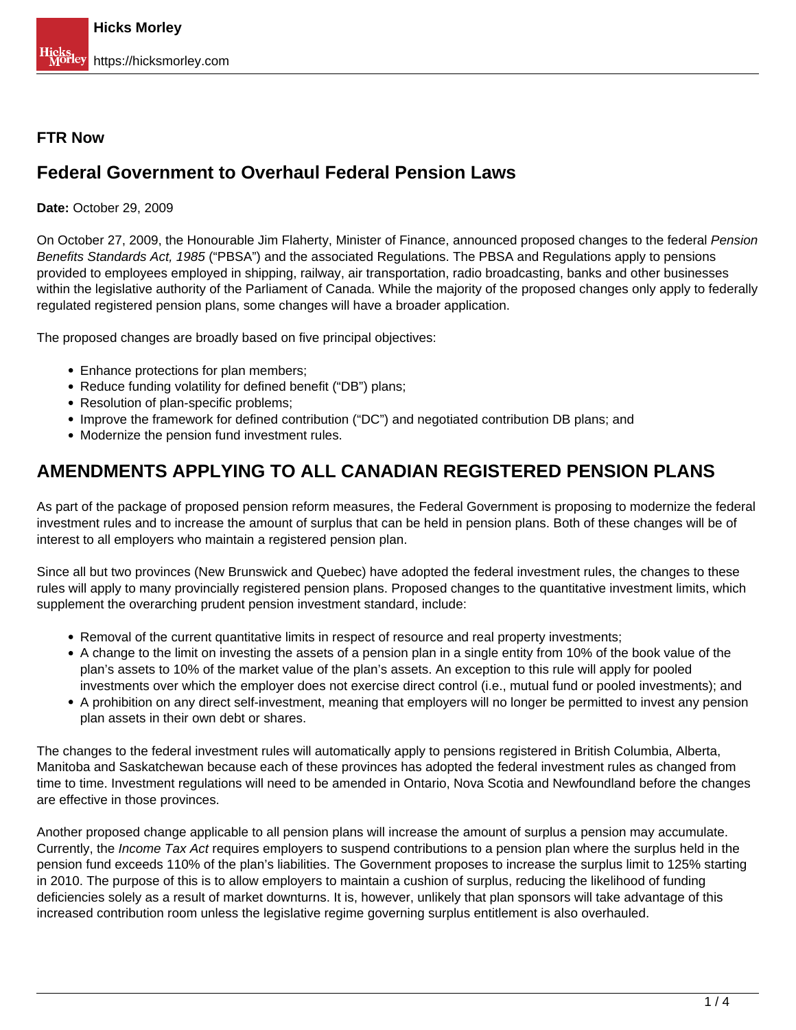#### **FTR Now**

# **Federal Government to Overhaul Federal Pension Laws**

#### **Date:** October 29, 2009

On October 27, 2009, the Honourable Jim Flaherty, Minister of Finance, announced proposed changes to the federal Pension Benefits Standards Act, 1985 ("PBSA") and the associated Regulations. The PBSA and Regulations apply to pensions provided to employees employed in shipping, railway, air transportation, radio broadcasting, banks and other businesses within the legislative authority of the Parliament of Canada. While the majority of the proposed changes only apply to federally regulated registered pension plans, some changes will have a broader application.

The proposed changes are broadly based on five principal objectives:

- Enhance protections for plan members;
- Reduce funding volatility for defined benefit ("DB") plans;
- Resolution of plan-specific problems:
- Improve the framework for defined contribution ("DC") and negotiated contribution DB plans; and
- Modernize the pension fund investment rules.

# **AMENDMENTS APPLYING TO ALL CANADIAN REGISTERED PENSION PLANS**

As part of the package of proposed pension reform measures, the Federal Government is proposing to modernize the federal investment rules and to increase the amount of surplus that can be held in pension plans. Both of these changes will be of interest to all employers who maintain a registered pension plan.

Since all but two provinces (New Brunswick and Quebec) have adopted the federal investment rules, the changes to these rules will apply to many provincially registered pension plans. Proposed changes to the quantitative investment limits, which supplement the overarching prudent pension investment standard, include:

- Removal of the current quantitative limits in respect of resource and real property investments;
- A change to the limit on investing the assets of a pension plan in a single entity from 10% of the book value of the plan's assets to 10% of the market value of the plan's assets. An exception to this rule will apply for pooled investments over which the employer does not exercise direct control (i.e., mutual fund or pooled investments); and
- A prohibition on any direct self-investment, meaning that employers will no longer be permitted to invest any pension plan assets in their own debt or shares.

The changes to the federal investment rules will automatically apply to pensions registered in British Columbia, Alberta, Manitoba and Saskatchewan because each of these provinces has adopted the federal investment rules as changed from time to time. Investment regulations will need to be amended in Ontario, Nova Scotia and Newfoundland before the changes are effective in those provinces.

Another proposed change applicable to all pension plans will increase the amount of surplus a pension may accumulate. Currently, the *Income Tax Act* requires employers to suspend contributions to a pension plan where the surplus held in the pension fund exceeds 110% of the plan's liabilities. The Government proposes to increase the surplus limit to 125% starting in 2010. The purpose of this is to allow employers to maintain a cushion of surplus, reducing the likelihood of funding deficiencies solely as a result of market downturns. It is, however, unlikely that plan sponsors will take advantage of this increased contribution room unless the legislative regime governing surplus entitlement is also overhauled.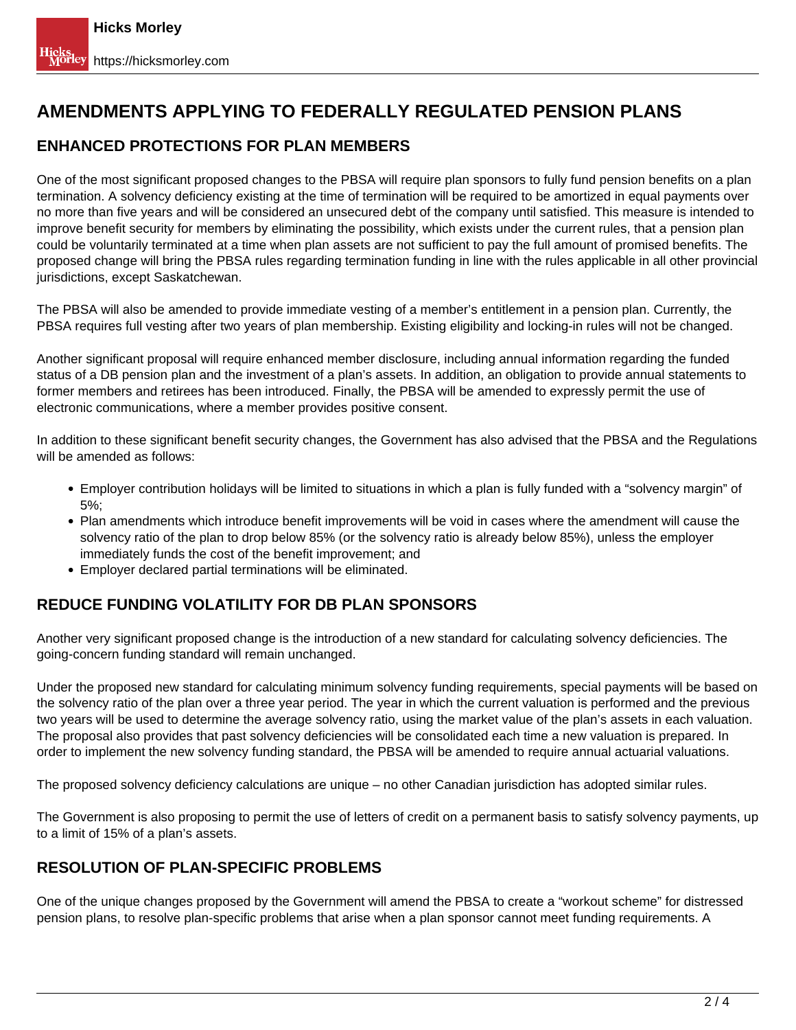# **AMENDMENTS APPLYING TO FEDERALLY REGULATED PENSION PLANS**

# **ENHANCED PROTECTIONS FOR PLAN MEMBERS**

One of the most significant proposed changes to the PBSA will require plan sponsors to fully fund pension benefits on a plan termination. A solvency deficiency existing at the time of termination will be required to be amortized in equal payments over no more than five years and will be considered an unsecured debt of the company until satisfied. This measure is intended to improve benefit security for members by eliminating the possibility, which exists under the current rules, that a pension plan could be voluntarily terminated at a time when plan assets are not sufficient to pay the full amount of promised benefits. The proposed change will bring the PBSA rules regarding termination funding in line with the rules applicable in all other provincial jurisdictions, except Saskatchewan.

The PBSA will also be amended to provide immediate vesting of a member's entitlement in a pension plan. Currently, the PBSA requires full vesting after two years of plan membership. Existing eligibility and locking-in rules will not be changed.

Another significant proposal will require enhanced member disclosure, including annual information regarding the funded status of a DB pension plan and the investment of a plan's assets. In addition, an obligation to provide annual statements to former members and retirees has been introduced. Finally, the PBSA will be amended to expressly permit the use of electronic communications, where a member provides positive consent.

In addition to these significant benefit security changes, the Government has also advised that the PBSA and the Regulations will be amended as follows:

- Employer contribution holidays will be limited to situations in which a plan is fully funded with a "solvency margin" of 5%;
- Plan amendments which introduce benefit improvements will be void in cases where the amendment will cause the solvency ratio of the plan to drop below 85% (or the solvency ratio is already below 85%), unless the employer immediately funds the cost of the benefit improvement; and
- Employer declared partial terminations will be eliminated.

# **REDUCE FUNDING VOLATILITY FOR DB PLAN SPONSORS**

Another very significant proposed change is the introduction of a new standard for calculating solvency deficiencies. The going-concern funding standard will remain unchanged.

Under the proposed new standard for calculating minimum solvency funding requirements, special payments will be based on the solvency ratio of the plan over a three year period. The year in which the current valuation is performed and the previous two years will be used to determine the average solvency ratio, using the market value of the plan's assets in each valuation. The proposal also provides that past solvency deficiencies will be consolidated each time a new valuation is prepared. In order to implement the new solvency funding standard, the PBSA will be amended to require annual actuarial valuations.

The proposed solvency deficiency calculations are unique – no other Canadian jurisdiction has adopted similar rules.

The Government is also proposing to permit the use of letters of credit on a permanent basis to satisfy solvency payments, up to a limit of 15% of a plan's assets.

### **RESOLUTION OF PLAN-SPECIFIC PROBLEMS**

One of the unique changes proposed by the Government will amend the PBSA to create a "workout scheme" for distressed pension plans, to resolve plan-specific problems that arise when a plan sponsor cannot meet funding requirements. A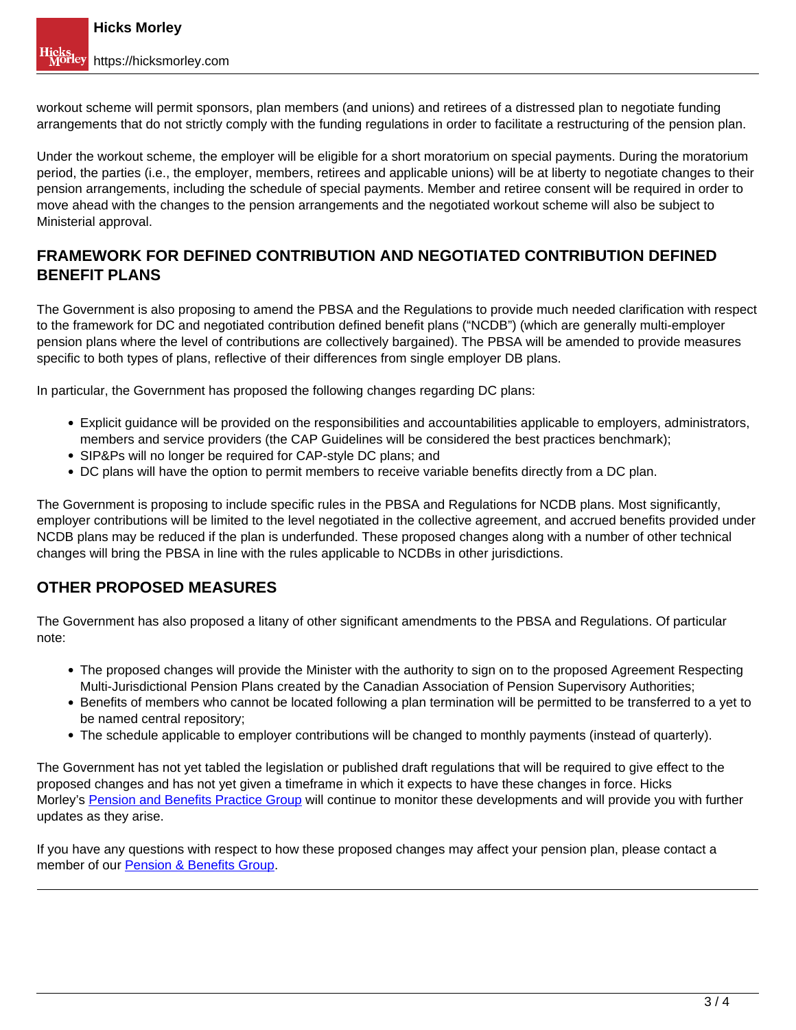workout scheme will permit sponsors, plan members (and unions) and retirees of a distressed plan to negotiate funding arrangements that do not strictly comply with the funding regulations in order to facilitate a restructuring of the pension plan.

Under the workout scheme, the employer will be eligible for a short moratorium on special payments. During the moratorium period, the parties (i.e., the employer, members, retirees and applicable unions) will be at liberty to negotiate changes to their pension arrangements, including the schedule of special payments. Member and retiree consent will be required in order to move ahead with the changes to the pension arrangements and the negotiated workout scheme will also be subject to Ministerial approval.

### **FRAMEWORK FOR DEFINED CONTRIBUTION AND NEGOTIATED CONTRIBUTION DEFINED BENEFIT PLANS**

The Government is also proposing to amend the PBSA and the Regulations to provide much needed clarification with respect to the framework for DC and negotiated contribution defined benefit plans ("NCDB") (which are generally multi-employer pension plans where the level of contributions are collectively bargained). The PBSA will be amended to provide measures specific to both types of plans, reflective of their differences from single employer DB plans.

In particular, the Government has proposed the following changes regarding DC plans:

- Explicit guidance will be provided on the responsibilities and accountabilities applicable to employers, administrators, members and service providers (the CAP Guidelines will be considered the best practices benchmark);
- SIP&Ps will no longer be required for CAP-style DC plans; and
- DC plans will have the option to permit members to receive variable benefits directly from a DC plan.

The Government is proposing to include specific rules in the PBSA and Regulations for NCDB plans. Most significantly, employer contributions will be limited to the level negotiated in the collective agreement, and accrued benefits provided under NCDB plans may be reduced if the plan is underfunded. These proposed changes along with a number of other technical changes will bring the PBSA in line with the rules applicable to NCDBs in other jurisdictions.

### **OTHER PROPOSED MEASURES**

The Government has also proposed a litany of other significant amendments to the PBSA and Regulations. Of particular note:

- The proposed changes will provide the Minister with the authority to sign on to the proposed Agreement Respecting Multi-Jurisdictional Pension Plans created by the Canadian Association of Pension Supervisory Authorities;
- Benefits of members who cannot be located following a plan termination will be permitted to be transferred to a yet to be named central repository;
- The schedule applicable to employer contributions will be changed to monthly payments (instead of quarterly).

The Government has not yet tabled the legislation or published draft regulations that will be required to give effect to the proposed changes and has not yet given a timeframe in which it expects to have these changes in force. Hicks Morley's [Pension and Benefits Practice Group](https://hicksmorley.com/expertise/pension-benefits-and-executive-compensation/) will continue to monitor these developments and will provide you with further updates as they arise.

If you have any questions with respect to how these proposed changes may affect your pension plan, please contact a member of our **Pension & Benefits Group.**